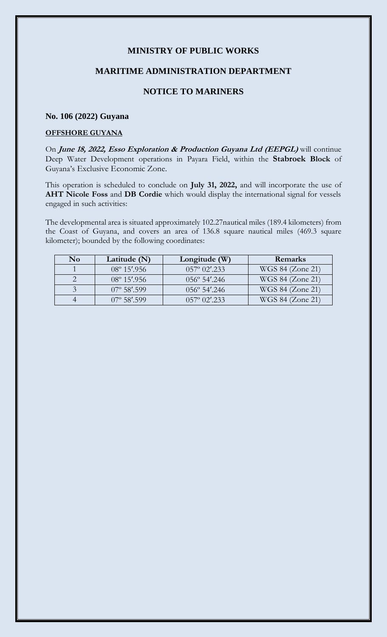## **MINISTRY OF PUBLIC WORKS**

### **MARITIME ADMINISTRATION DEPARTMENT**

# **NOTICE TO MARINERS**

#### **No. 106 (2022) Guyana**

#### **OFFSHORE GUYANA**

On **June 18, 2022, Esso Exploration & Production Guyana Ltd (EEPGL)** will continue Deep Water Development operations in Payara Field, within the **Stabroek Block** of Guyana's Exclusive Economic Zone.

This operation is scheduled to conclude on **July 31, 2022,** and will incorporate the use of **AHT Nicole Foss** and **DB Cordie** which would display the international signal for vessels engaged in such activities:

The developmental area is situated approximately 102.27nautical miles (189.4 kilometers) from the Coast of Guyana, and covers an area of 136.8 square nautical miles (469.3 square kilometer); bounded by the following coordinates:

| No | Latitude (N)          | Longitude (W)                               | Remarks          |
|----|-----------------------|---------------------------------------------|------------------|
|    | $08^{\circ} 15'$ .956 | $0.57^{\circ}$ $0.2^{\prime}$ , 2.3.3       | WGS 84 (Zone 21) |
|    | $08^{\circ} 15'$ .956 | $056^{\circ}$ 54'.246                       | WGS 84 (Zone 21) |
|    | $07^{\circ}$ 58'.599  | $0.56^\circ 54'$ .246                       | WGS 84 (Zone 21) |
|    | $07^{\circ}$ 58'.599  | $057^{\circ}$ $02^{\prime}$ , $233^{\circ}$ | WGS 84 (Zone 21) |